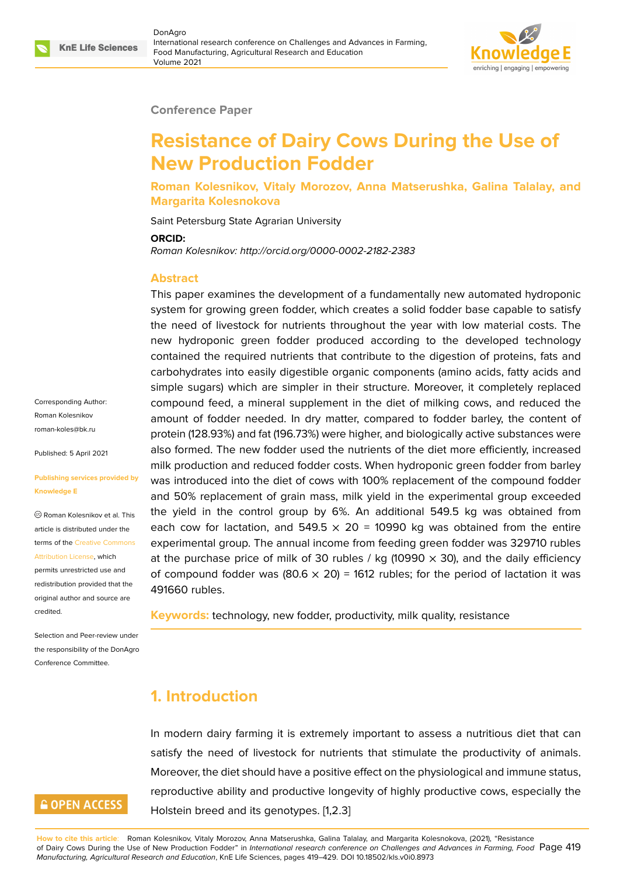

#### **Conference Paper**

# **Resistance of Dairy Cows During the Use of New Production Fodder**

**Roman Kolesnikov, Vitaly Morozov, Anna Matserushka, Galina Talalay, and Margarita Kolesnokova**

Saint Petersburg State Agrarian University

**ORCID:**

*Roman Kolesnikov: http://orcid.org/0000-0002-2182-2383*

#### **Abstract**

This paper examines the development of a fundamentally new automated hydroponic system for growing green fodder, which creates a solid fodder base capable to satisfy the need of livestock for nutrients throughout the year with low material costs. The new hydroponic green fodder produced according to the developed technology contained the required nutrients that contribute to the digestion of proteins, fats and carbohydrates into easily digestible organic components (amino acids, fatty acids and simple sugars) which are simpler in their structure. Moreover, it completely replaced compound feed, a mineral supplement in the diet of milking cows, and reduced the amount of fodder needed. In dry matter, compared to fodder barley, the content of protein (128.93%) and fat (196.73%) were higher, and biologically active substances were also formed. The new fodder used the nutrients of the diet more efficiently, increased milk production and reduced fodder costs. When hydroponic green fodder from barley was introduced into the diet of cows with 100% replacement of the compound fodder and 50% replacement of grain mass, milk yield in the experimental group exceeded the yield in the control group by 6%. An additional 549.5 kg was obtained from each cow for lactation, and  $549.5 \times 20 = 10990$  kg was obtained from the entire experimental group. The annual income from feeding green fodder was 329710 rubles at the purchase price of milk of 30 rubles / kg (10990  $\times$  30), and the daily efficiency of compound fodder was (80.6  $\times$  20) = 1612 rubles; for the period of lactation it was 491660 rubles.

**Keywords:** technology, new fodder, productivity, milk quality, resistance

### **1. Introduction**

In modern dairy farming it is extremely important to assess a nutritious diet that can satisfy the need of livestock for nutrients that stimulate the productivity of animals. Moreover, the diet should have a positive effect on the physiological and immune status, reproductive ability and productive longevity of highly productive cows, especially the Holstein breed and its genotypes. [1,2.3]

Corresponding Author: Roman Kolesnikov roman-koles@bk.ru

Published: 5 April 2021

#### **[Publishing services](mailto:roman-koles@bk.ru) provided by Knowledge E**

Roman Kolesnikov et al. This article is distributed under the terms of the Creative Commons Attribution License, which

permits unrestricted use and redistribution provided that the original auth[or and source are](https://creativecommons.org/licenses/by/4.0/) [credited.](https://creativecommons.org/licenses/by/4.0/)

Selection and Peer-review under the responsibility of the DonAgro Conference Committee.

# **GOPEN ACCESS**

**How to cite this article**: Roman Kolesnikov, Vitaly Morozov, Anna Matserushka, Galina Talalay, and Margarita Kolesnokova, (2021), "Resistance of Dairy Cows During the Use of New Production Fodder" in *International research conference on Challenges and Advances in Farming, Food* Page 419 *Manufacturing, Agricultural Research and Education*, KnE Life Sciences, pages 419–429. DOI 10.18502/kls.v0i0.8973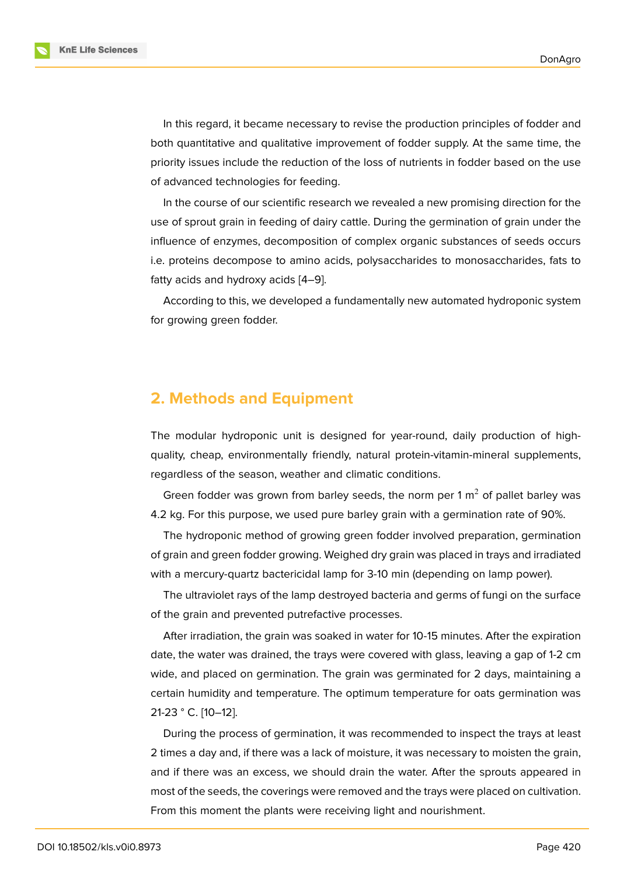In this regard, it became necessary to revise the production principles of fodder and both quantitative and qualitative improvement of fodder supply. At the same time, the priority issues include the reduction of the loss of nutrients in fodder based on the use of advanced technologies for feeding.

In the course of our scientific research we revealed a new promising direction for the use of sprout grain in feeding of dairy cattle. During the germination of grain under the influence of enzymes, decomposition of complex organic substances of seeds occurs i.e. proteins decompose to amino acids, polysaccharides to monosaccharides, fats to fatty acids and hydroxy acids [4–9].

According to this, we developed a fundamentally new automated hydroponic system for growing green fodder.

### **2. Methods and Equipment**

The modular hydroponic unit is designed for year-round, daily production of highquality, cheap, environmentally friendly, natural protein-vitamin-mineral supplements, regardless of the season, weather and climatic conditions.

Green fodder was grown from barley seeds, the norm per 1  $\text{m}^2$  of pallet barley was 4.2 kg. For this purpose, we used pure barley grain with a germination rate of 90%.

The hydroponic method of growing green fodder involved preparation, germination of grain and green fodder growing. Weighed dry grain was placed in trays and irradiated with a mercury-quartz bactericidal lamp for 3-10 min (depending on lamp power).

The ultraviolet rays of the lamp destroyed bacteria and germs of fungi on the surface of the grain and prevented putrefactive processes.

After irradiation, the grain was soaked in water for 10-15 minutes. After the expiration date, the water was drained, the trays were covered with glass, leaving a gap of 1-2 cm wide, and placed on germination. The grain was germinated for 2 days, maintaining a certain humidity and temperature. The optimum temperature for oats germination was 21-23 ° C. [10–12].

During the process of germination, it was recommended to inspect the trays at least 2 times a day and, if there was a lack of moisture, it was necessary to moisten the grain, and if ther[e w](#page-10-0)[as](#page-10-1) an excess, we should drain the water. After the sprouts appeared in most of the seeds, the coverings were removed and the trays were placed on cultivation. From this moment the plants were receiving light and nourishment.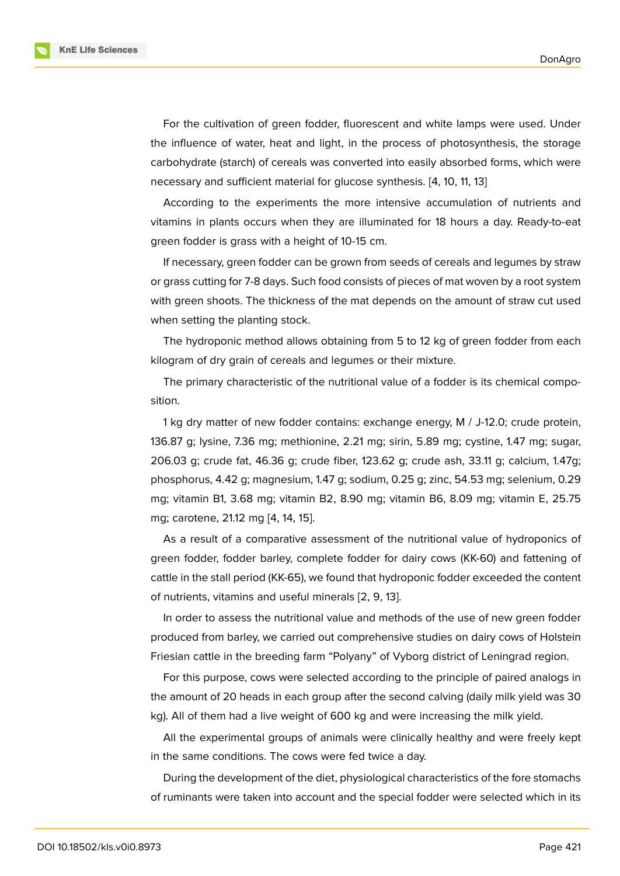For the cultivation of green fodder, fluorescent and white lamps were used. Under the influence of water, heat and light, in the process of photosynthesis, the storage carbohydrate (starch) of cereals was converted into easily absorbed forms, which were necessary and sufficient material for glucose synthesis. [4, 10, 11, 13]

According to the experiments the more intensive accumulation of nutrients and vitamins in plants occurs when they are illuminated for 18 hours a day. Ready-to-eat green fodder is grass with a height of 10-15 cm.

If necessary, green fodder can be grown from seeds of cereals and legumes by straw or grass cutting for 7-8 days. Such food consists of pieces of mat woven by a root system with green shoots. The thickness of the mat depends on the amount of straw cut used when setting the planting stock.

The hydroponic method allows obtaining from 5 to 12 kg of green fodder from each kilogram of dry grain of cereals and legumes or their mixture.

The primary characteristic of the nutritional value of a fodder is its chemical composition.

1 kg dry matter of new fodder contains: exchange energy, M / J-12.0; crude protein, 136.87 g; lysine, 7.36 mg; methionine, 2.21 mg; sirin, 5.89 mg; cystine, 1.47 mg; sugar, 206.03 g; crude fat, 46.36 g; crude fiber, 123.62 g; crude ash, 33.11 g; calcium, 1.47g; phosphorus, 4.42 g; magnesium, 1.47 g; sodium, 0.25 g; zinc, 54.53 mg; selenium, 0.29 mg; vitamin B1, 3.68 mg; vitamin B2, 8.90 mg; vitamin B6, 8.09 mg; vitamin E, 25.75 mg; carotene, 21.12 mg [4, 14, 15].

As a result of a comparative assessment of the nutritional value of hydroponics of green fodder, fodder barley, complete fodder for dairy cows (KK-60) and fattening of cattle in the stall period [\(K](#page-9-0)[K-6](#page-10-2)[5\), w](#page-10-3)e found that hydroponic fodder exceeded the content of nutrients, vitamins and useful minerals [2, 9, 13].

In order to assess the nutritional value and methods of the use of new green fodder produced from barley, we carried out comprehensive studies on dairy cows of Holstein Friesian cattle in the breeding farm "Polya[ny](#page-9-1)["](#page-9-2) [of V](#page-10-4)yborg district of Leningrad region.

For this purpose, cows were selected according to the principle of paired analogs in the amount of 20 heads in each group after the second calving (daily milk yield was 30 kg). All of them had a live weight of 600 kg and were increasing the milk yield.

All the experimental groups of animals were clinically healthy and were freely kept in the same conditions. The cows were fed twice a day.

During the development of the diet, physiological characteristics of the fore stomachs of ruminants were taken into account and the special fodder were selected which in its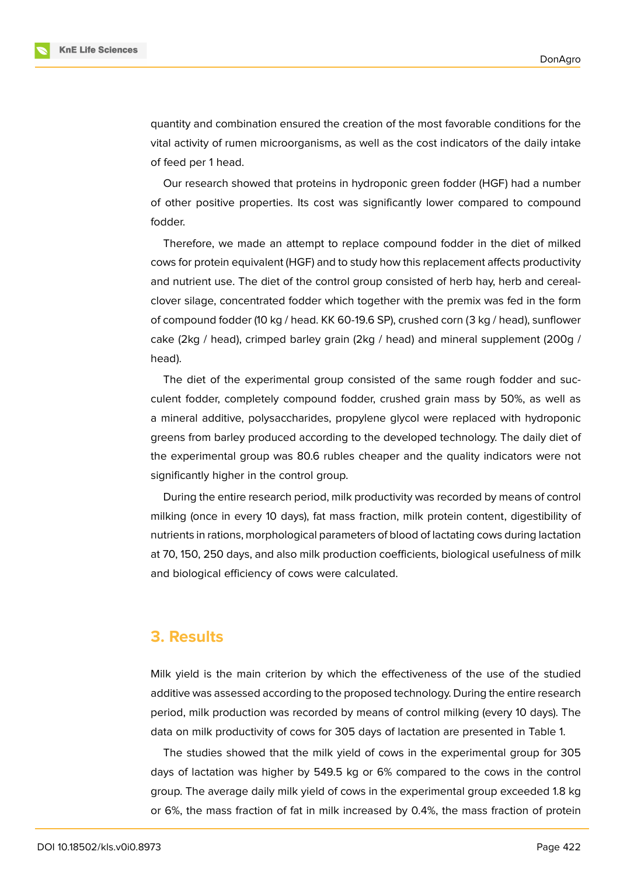quantity and combination ensured the creation of the most favorable conditions for the vital activity of rumen microorganisms, as well as the cost indicators of the daily intake of feed per 1 head.

Our research showed that proteins in hydroponic green fodder (HGF) had a number of other positive properties. Its cost was significantly lower compared to compound fodder.

Therefore, we made an attempt to replace compound fodder in the diet of milked cows for protein equivalent (HGF) and to study how this replacement affects productivity and nutrient use. The diet of the control group consisted of herb hay, herb and cerealclover silage, concentrated fodder which together with the premix was fed in the form of compound fodder (10 kg / head. KK 60-19.6 SP), crushed corn (3 kg / head), sunflower cake (2kg / head), crimped barley grain (2kg / head) and mineral supplement (200g / head).

The diet of the experimental group consisted of the same rough fodder and succulent fodder, completely compound fodder, crushed grain mass by 50%, as well as a mineral additive, polysaccharides, propylene glycol were replaced with hydroponic greens from barley produced according to the developed technology. The daily diet of the experimental group was 80.6 rubles cheaper and the quality indicators were not significantly higher in the control group.

During the entire research period, milk productivity was recorded by means of control milking (once in every 10 days), fat mass fraction, milk protein content, digestibility of nutrients in rations, morphological parameters of blood of lactating cows during lactation at 70, 150, 250 days, and also milk production coefficients, biological usefulness of milk and biological efficiency of cows were calculated.

#### **3. Results**

Milk yield is the main criterion by which the effectiveness of the use of the studied additive was assessed according to the proposed technology. During the entire research period, milk production was recorded by means of control milking (every 10 days). The data on milk productivity of cows for 305 days of lactation are presented in Table 1.

The studies showed that the milk yield of cows in the experimental group for 305 days of lactation was higher by 549.5 kg or 6% compared to the cows in the control group. The average daily milk yield of cows in the experimental group exceeded 1.8 kg or 6%, the mass fraction of fat in milk increased by 0.4%, the mass fraction of protein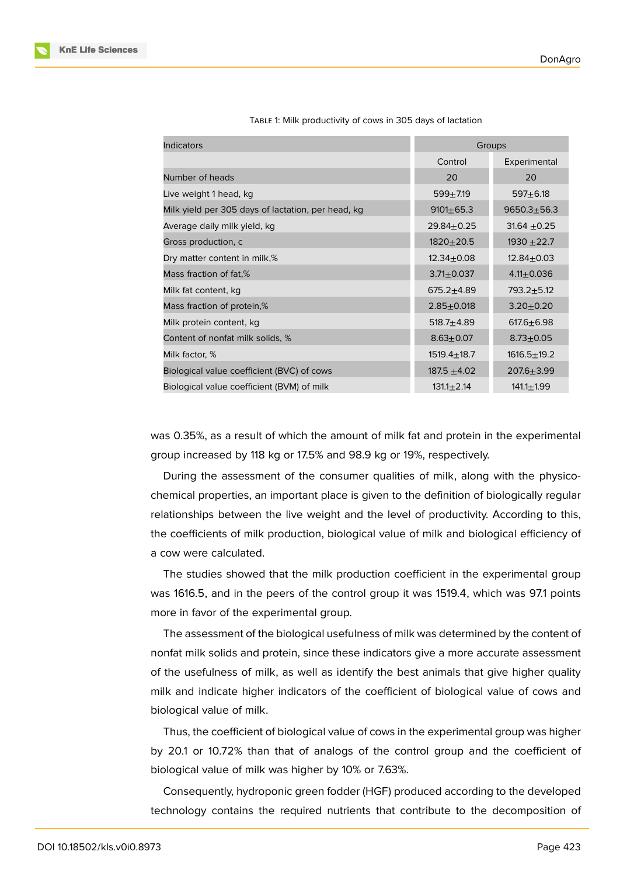| <b>Indicators</b>                                  | Groups            |                  |  |
|----------------------------------------------------|-------------------|------------------|--|
|                                                    | Control           | Experimental     |  |
| Number of heads                                    | 20                | 20               |  |
| Live weight 1 head, kg                             | $599 + 7.19$      | $597 + 6.18$     |  |
| Milk yield per 305 days of lactation, per head, kg | $9101 \pm 65.3$   | $9650.3 + 56.3$  |  |
| Average daily milk yield, kg                       | $29.84 \pm 0.25$  | 31.64 $\pm$ 0.25 |  |
| Gross production, c                                | $1820 + 20.5$     | $1930 + 22.7$    |  |
| Dry matter content in milk,%                       | $12.34 \pm 0.08$  | $12.84 \pm 0.03$ |  |
| Mass fraction of fat,%                             | $3.71 \pm 0.037$  | $4.11 \pm 0.036$ |  |
| Milk fat content, kg                               | $675.2 + 4.89$    | $793.2 + 5.12$   |  |
| Mass fraction of protein,%                         | $2.85 + 0.018$    | $3.20 + 0.20$    |  |
| Milk protein content, kg                           | 518.7 $\pm$ 4.89  | $617.6 + 6.98$   |  |
| Content of nonfat milk solids, %                   | $8.63 + 0.07$     | $8.73 \pm 0.05$  |  |
| Milk factor, %                                     | $1519.4 \pm 18.7$ | $1616.5 + 19.2$  |  |
| Biological value coefficient (BVC) of cows         | 187.5 $\pm$ 4.02  | $207.6 + 3.99$   |  |
| Biological value coefficient (BVM) of milk         | $131.1 \pm 2.14$  | $141.1 \pm 1.99$ |  |

TABLE 1: Milk productivity of cows in 305 days of lactation

was 0.35%, as a result of which the amount of milk fat and protein in the experimental group increased by 118 kg or 17.5% and 98.9 kg or 19%, respectively.

During the assessment of the consumer qualities of milk, along with the physicochemical properties, an important place is given to the definition of biologically regular relationships between the live weight and the level of productivity. According to this, the coefficients of milk production, biological value of milk and biological efficiency of a cow were calculated.

The studies showed that the milk production coefficient in the experimental group was 1616.5, and in the peers of the control group it was 1519.4, which was 97.1 points more in favor of the experimental group.

The assessment of the biological usefulness of milk was determined by the content of nonfat milk solids and protein, since these indicators give a more accurate assessment of the usefulness of milk, as well as identify the best animals that give higher quality milk and indicate higher indicators of the coefficient of biological value of cows and biological value of milk.

Thus, the coefficient of biological value of cows in the experimental group was higher by 20.1 or 10.72% than that of analogs of the control group and the coefficient of biological value of milk was higher by 10% or 7.63%.

Consequently, hydroponic green fodder (HGF) produced according to the developed technology contains the required nutrients that contribute to the decomposition of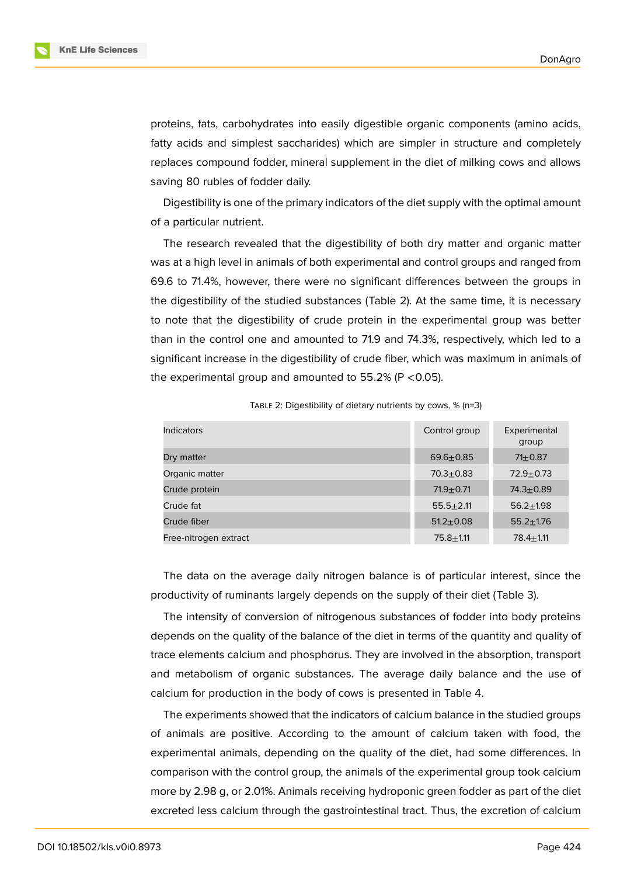**KnE Life Sciences** 

proteins, fats, carbohydrates into easily digestible organic components (amino acids, fatty acids and simplest saccharides) which are simpler in structure and completely replaces compound fodder, mineral supplement in the diet of milking cows and allows saving 80 rubles of fodder daily.

Digestibility is one of the primary indicators of the diet supply with the optimal amount of a particular nutrient.

The research revealed that the digestibility of both dry matter and organic matter was at a high level in animals of both experimental and control groups and ranged from 69.6 to 71.4%, however, there were no significant differences between the groups in the digestibility of the studied substances (Table 2). At the same time, it is necessary to note that the digestibility of crude protein in the experimental group was better than in the control one and amounted to 71.9 and 74.3%, respectively, which led to a significant increase in the digestibility of crude fiber, which was maximum in animals of the experimental group and amounted to  $55.2\%$  (P < 0.05).

| <b>Indicators</b>     | Control group   | Experimental<br>group |
|-----------------------|-----------------|-----------------------|
| Dry matter            | $69.6 + 0.85$   | $71+0.87$             |
| Organic matter        | $70.3 + 0.83$   | $72.9 + 0.73$         |
| Crude protein         | $71.9 + 0.71$   | $74.3 + 0.89$         |
| Crude fat             | $55.5 + 2.11$   | $56.2 + 1.98$         |
| Crude fiber           | $51.2 \pm 0.08$ | $55.2 \pm 1.76$       |
| Free-nitrogen extract | $75.8 + 1.11$   | $78.4 + 1.11$         |

TABLE 2: Digestibility of dietary nutrients by cows, % (n=3)

The data on the average daily nitrogen balance is of particular interest, since the productivity of ruminants largely depends on the supply of their diet (Table 3).

The intensity of conversion of nitrogenous substances of fodder into body proteins depends on the quality of the balance of the diet in terms of the quantity and quality of trace elements calcium and phosphorus. They are involved in the absorption, transport and metabolism of organic substances. The average daily balance and the use of calcium for production in the body of cows is presented in Table 4.

The experiments showed that the indicators of calcium balance in the studied groups of animals are positive. According to the amount of calcium taken with food, the experimental animals, depending on the quality of the diet, had some differences. In comparison with the control group, the animals of the experimental group took calcium more by 2.98 g, or 2.01%. Animals receiving hydroponic green fodder as part of the diet excreted less calcium through the gastrointestinal tract. Thus, the excretion of calcium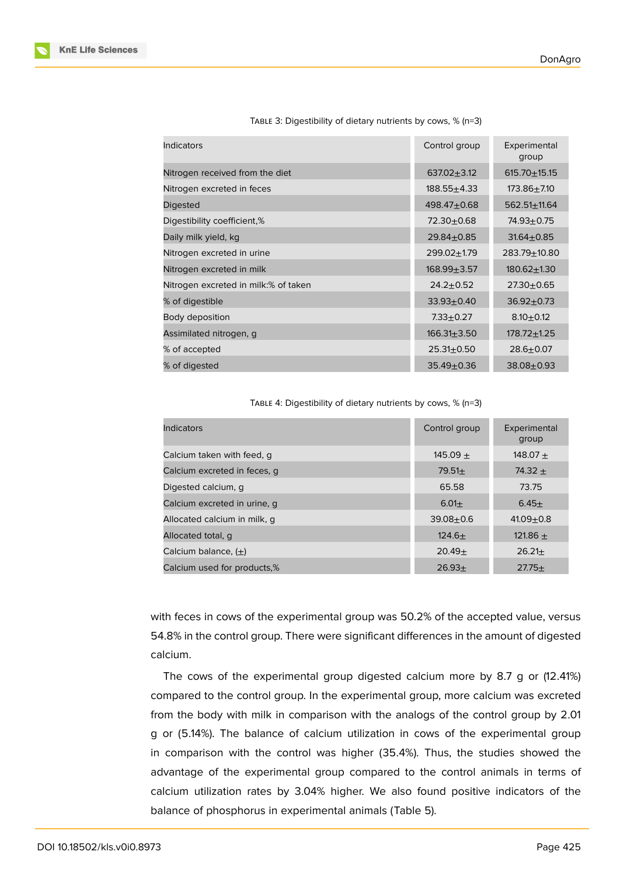| <b>Indicators</b>                    | Control group     | Experimental<br>group |  |
|--------------------------------------|-------------------|-----------------------|--|
| Nitrogen received from the diet      | $637.02 + 3.12$   | $615.70 \pm 15.15$    |  |
| Nitrogen excreted in feces           | $188.55 + 4.33$   | $173.86 + 7.10$       |  |
| Digested                             | 498.47±0.68       | $562.51 \pm 11.64$    |  |
| Digestibility coefficient,%          | $72.30 \pm 0.68$  | $74.93 + 0.75$        |  |
| Daily milk yield, kg                 | $29.84 \pm 0.85$  | $31.64 \pm 0.85$      |  |
| Nitrogen excreted in urine           | $299.02 + 1.79$   | $283.79 + 10.80$      |  |
| Nitrogen excreted in milk            | $168.99 + 3.57$   | $180.62 + 1.30$       |  |
| Nitrogen excreted in milk:% of taken | $24.2 + 0.52$     | $27.30 + 0.65$        |  |
| % of digestible                      | $33.93 + 0.40$    | $36.92 + 0.73$        |  |
| Body deposition                      | $7.33 \pm 0.27$   | $8.10 + 0.12$         |  |
| Assimilated nitrogen, g              | $166.31 \pm 3.50$ | $178.72 \pm 1.25$     |  |
| % of accepted                        | $25.31 \pm 0.50$  | $28.6 + 0.07$         |  |
| % of digested                        | $35.49 \pm 0.36$  | $38.08 + 0.93$        |  |

TABLE 3: Digestibility of dietary nutrients by cows, % (n=3)

TABLE 4: Digestibility of dietary nutrients by cows, % (n=3)

| Indicators                   | Control group              | Experimental<br>group |  |
|------------------------------|----------------------------|-----------------------|--|
| Calcium taken with feed, q   | $145.09 +$                 | 148.07 $\pm$          |  |
| Calcium excreted in feces, q | 79.51 $\pm$<br>74.32 $\pm$ |                       |  |
| Digested calcium, g          | 65.58                      | 73.75                 |  |
| Calcium excreted in urine, q | $6.01 +$                   | $6.45+$               |  |
| Allocated calcium in milk, q | $39.08 + 0.6$              | $41.09 + 0.8$         |  |
| Allocated total, q           | $124.6+$                   | 121.86 $\pm$          |  |
| Calcium balance, $(\pm)$     | $20.49+$                   | $26.21+$              |  |
| Calcium used for products,%  | $26.93+$                   | $27.75+$              |  |

with feces in cows of the experimental group was 50.2% of the accepted value, versus 54.8% in the control group. There were significant differences in the amount of digested calcium.

The cows of the experimental group digested calcium more by 8.7 g or (12.41%) compared to the control group. In the experimental group, more calcium was excreted from the body with milk in comparison with the analogs of the control group by 2.01 g or (5.14%). The balance of calcium utilization in cows of the experimental group in comparison with the control was higher (35.4%). Thus, the studies showed the advantage of the experimental group compared to the control animals in terms of calcium utilization rates by 3.04% higher. We also found positive indicators of the balance of phosphorus in experimental animals (Table 5).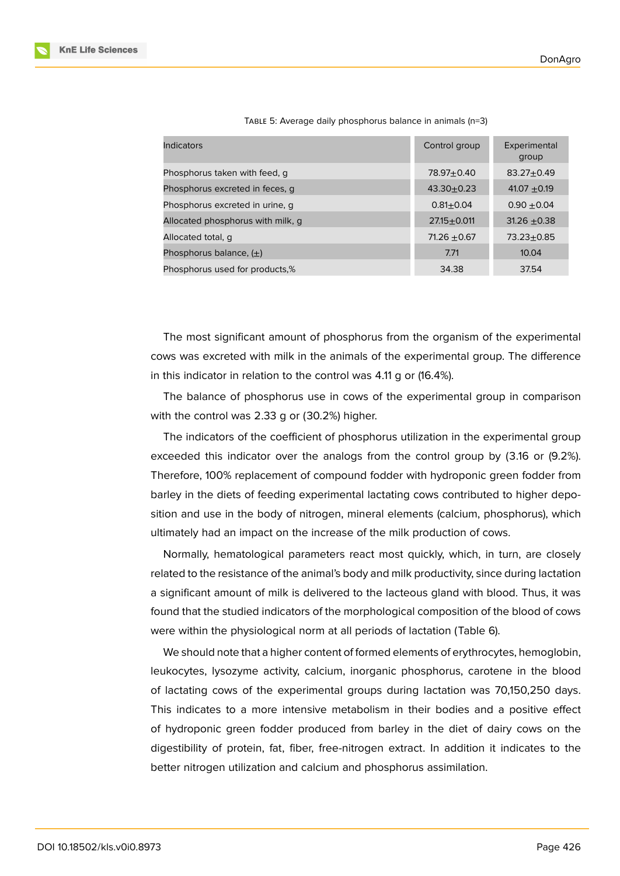| <b>Indicators</b>                 | Control group   | Experimental<br>group |  |
|-----------------------------------|-----------------|-----------------------|--|
| Phosphorus taken with feed, q     | 78.97+0.40      | $83.27 + 0.49$        |  |
| Phosphorus excreted in feces, q   | $43.30 + 0.23$  | 41.07 $\pm$ 0.19      |  |
| Phosphorus excreted in urine, q   | $0.81 + 0.04$   | $0.90 + 0.04$         |  |
| Allocated phosphorus with milk, q | $27.15 + 0.011$ | $31.26 + 0.38$        |  |
| Allocated total, q                | $71.26 + 0.67$  | $73.23 \pm 0.85$      |  |
| Phosphorus balance, $(\pm)$       | 7.71            | 10.04                 |  |
| Phosphorus used for products,%    | 34.38           | 37.54                 |  |

TABLE 5: Average daily phosphorus balance in animals (n=3)

The most significant amount of phosphorus from the organism of the experimental cows was excreted with milk in the animals of the experimental group. The difference in this indicator in relation to the control was 4.11 g or (16.4%).

The balance of phosphorus use in cows of the experimental group in comparison with the control was 2.33 g or (30.2%) higher.

The indicators of the coefficient of phosphorus utilization in the experimental group exceeded this indicator over the analogs from the control group by (3.16 or (9.2%). Therefore, 100% replacement of compound fodder with hydroponic green fodder from barley in the diets of feeding experimental lactating cows contributed to higher deposition and use in the body of nitrogen, mineral elements (calcium, phosphorus), which ultimately had an impact on the increase of the milk production of cows.

Normally, hematological parameters react most quickly, which, in turn, are closely related to the resistance of the animal's body and milk productivity, since during lactation a significant amount of milk is delivered to the lacteous gland with blood. Thus, it was found that the studied indicators of the morphological composition of the blood of cows were within the physiological norm at all periods of lactation (Table 6).

We should note that a higher content of formed elements of erythrocytes, hemoglobin, leukocytes, lysozyme activity, calcium, inorganic phosphorus, carotene in the blood of lactating cows of the experimental groups during lactation was 70,150,250 days. This indicates to a more intensive metabolism in their bodies and a positive effect of hydroponic green fodder produced from barley in the diet of dairy cows on the digestibility of protein, fat, fiber, free-nitrogen extract. In addition it indicates to the better nitrogen utilization and calcium and phosphorus assimilation.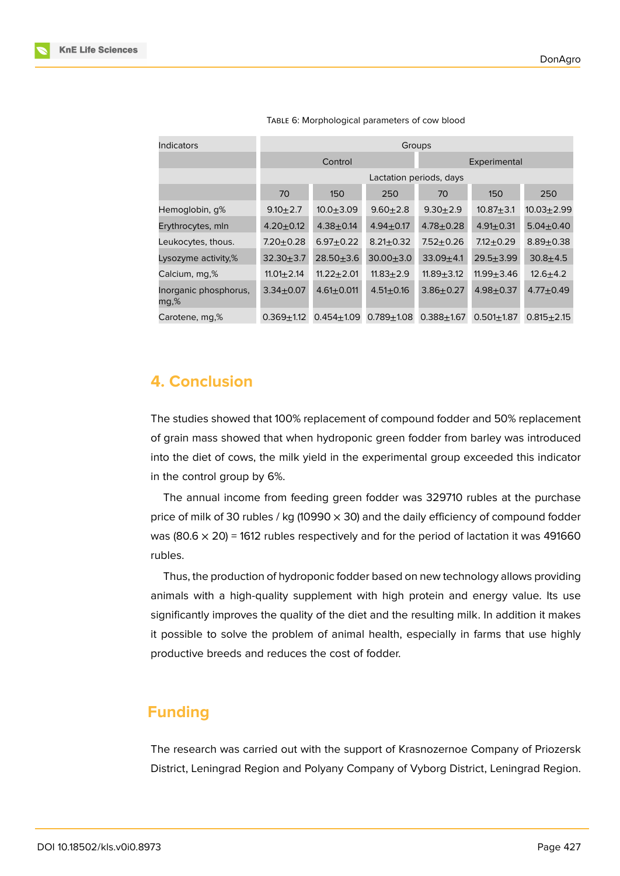| <b>Indicators</b>             | Groups                  |                  |                 |                |                 |                  |
|-------------------------------|-------------------------|------------------|-----------------|----------------|-----------------|------------------|
|                               | Control                 |                  |                 | Experimental   |                 |                  |
|                               | Lactation periods, days |                  |                 |                |                 |                  |
|                               | 70                      | 150              | 250             | 70             | 150             | 250              |
| Hemoglobin, q%                | $9.10 \pm 2.7$          | $10.0 + 3.09$    | $9.60 + 2.8$    | $9.30 + 2.9$   | $10.87 + 3.1$   | $10.03 + 2.99$   |
| Erythrocytes, mln             | $4.20 + 0.12$           | $4.38 + 0.14$    | $4.94 \pm 0.17$ | $4.78 + 0.28$  | $4.91 \pm 0.31$ | $5.04 \pm 0.40$  |
| Leukocytes, thous.            | $7.20 \pm 0.28$         | $6.97 + 0.22$    | $8.21 + 0.32$   | $7.52 + 0.26$  | $7.12 + 0.29$   | $8.89 + 0.38$    |
| Lysozyme activity,%           | $32.30 + 3.7$           | $28.50 + 3.6$    | $30.00 + 3.0$   | $33.09 + 4.1$  | $29.5 + 3.99$   | $30.8 + 4.5$     |
| Calcium, mg,%                 | $11.01 \pm 2.14$        | $11.22 + 2.01$   | $11.83 + 2.9$   | $11.89 + 3.12$ | $11.99 + 3.46$  | $12.6 + 4.2$     |
| Inorganic phosphorus,<br>mg,% | $3.34 \pm 0.07$         | $4.61 \pm 0.011$ | $4.51 \pm 0.16$ | $3.86 + 0.27$  | $4.98 + 0.37$   | $4.77 + 0.49$    |
| Carotene, mg,%                | $0.369 + 1.12$          | $0.454 + 1.09$   | $0.789 + 1.08$  | $0.388 + 1.67$ | $0.501 + 1.87$  | $0.815 \pm 2.15$ |

TABLE 6: Morphological parameters of cow blood

### **4. Conclusion**

The studies showed that 100% replacement of compound fodder and 50% replacement of grain mass showed that when hydroponic green fodder from barley was introduced into the diet of cows, the milk yield in the experimental group exceeded this indicator in the control group by 6%.

The annual income from feeding green fodder was 329710 rubles at the purchase price of milk of 30 rubles / kg (10990  $\times$  30) and the daily efficiency of compound fodder was (80.6  $\times$  20) = 1612 rubles respectively and for the period of lactation it was 491660 rubles.

Thus, the production of hydroponic fodder based on new technology allows providing animals with a high-quality supplement with high protein and energy value. Its use significantly improves the quality of the diet and the resulting milk. In addition it makes it possible to solve the problem of animal health, especially in farms that use highly productive breeds and reduces the cost of fodder.

### **Funding**

The research was carried out with the support of Krasnozernoe Company of Priozersk District, Leningrad Region and Polyany Company of Vyborg District, Leningrad Region.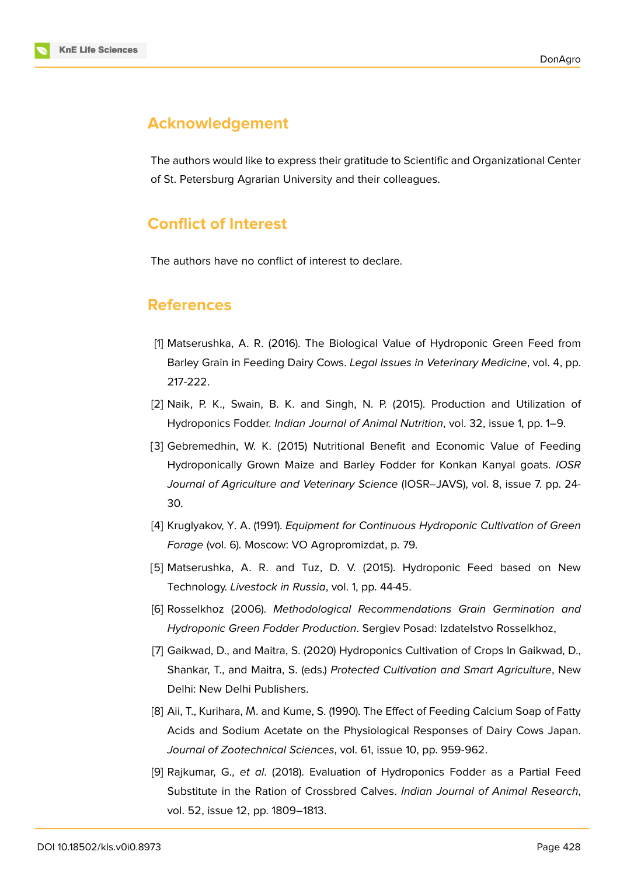

## **Acknowledgement**

The authors would like to express their gratitude to Scientific and Organizational Center of St. Petersburg Agrarian University and their colleagues.

# **Conflict of Interest**

The authors have no conflict of interest to declare.

#### **References**

- [1] Matserushka, A. R. (2016). The Biological Value of Hydroponic Green Feed from Barley Grain in Feeding Dairy Cows. *Legal Issues in Veterinary Medicine*, vol. 4, pp. 217-222.
- <span id="page-9-1"></span>[2] Naik, P. K., Swain, B. K. and Singh, N. P. (2015). Production and Utilization of Hydroponics Fodder. *Indian Journal of Animal Nutrition*, vol. 32, issue 1, pp. 1–9.
- [3] Gebremedhin, W. K. (2015) Nutritional Benefit and Economic Value of Feeding Hydroponically Grown Maize and Barley Fodder for Konkan Kanyal goats. *IOSR Journal of Agriculture and Veterinary Science* (IOSR–JAVS), vol. 8, issue 7. pp. 24- 30.
- <span id="page-9-0"></span>[4] Kruglyakov, Y. A. (1991). *Equipment for Continuous Hydroponic Cultivation of Green Forage* (vol. 6). Moscow: VO Agropromizdat, p. 79.
- [5] Matserushka, A. R. and Tuz, D. V. (2015). Hydroponic Feed based on New Technology. *Livestock in Russia*, vol. 1, pp. 44-45.
- [6] Rosselkhoz (2006). *Methodological Recommendations Grain Germination and Hydroponic Green Fodder Production*. Sergiev Posad: Izdatelstvo Rosselkhoz,
- [7] Gaikwad, D., and Maitra, S. (2020) Hydroponics Cultivation of Crops In Gaikwad, D., Shankar, T., and Maitra, S. (eds.) *Protected Cultivation and Smart Agriculture*, New Delhi: New Delhi Publishers.
- [8] Aii, T., Kurihara, М. and Kume, S. (1990). The Effect of Feeding Calcium Soap of Fatty Acids and Sodium Acetate on the Physiological Responses of Dairy Cows Japan. *Journal of Zootechnical Sciences*, vol. 61, issue 10, pp. 959-962.
- <span id="page-9-2"></span>[9] Rajkumar, G., *et al*. (2018). Evaluation of Hydroponics Fodder as a Partial Feed Substitute in the Ration of Crossbred Calves. *Indian Journal of Animal Research*, vol. 52, issue 12, pp. 1809–1813.